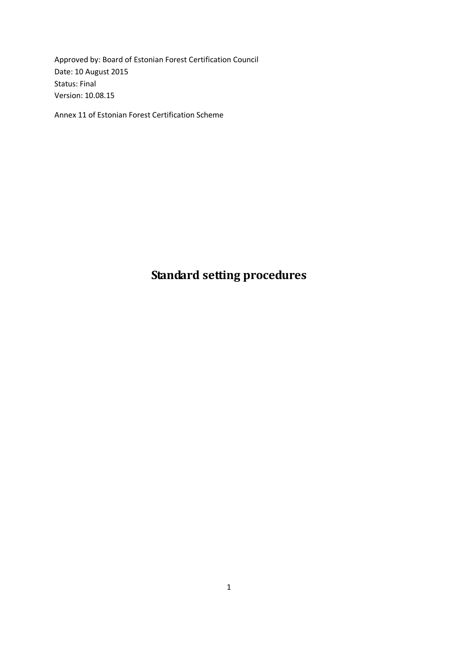Approved by: Board of Estonian Forest Certification Council Date: 10 August 2015 Status: Final Version: 10.08.15

Annex 11 of Estonian Forest Certification Scheme

# **Standard setting procedures**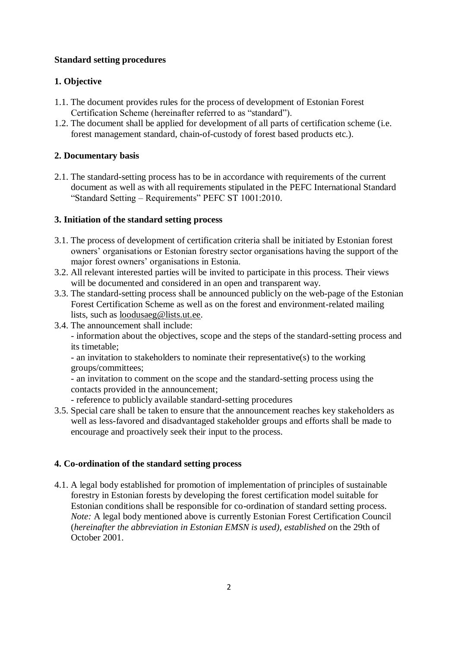## **Standard setting procedures**

# **1. Objective**

- 1.1. The document provides rules for the process of development of Estonian Forest Certification Scheme (hereinafter referred to as "standard").
- 1.2. The document shall be applied for development of all parts of certification scheme (i.e. forest management standard, chain-of-custody of forest based products etc.).

# **2. Documentary basis**

2.1. The standard-setting process has to be in accordance with requirements of the current document as well as with all requirements stipulated in the PEFC International Standard "Standard Setting – Requirements" PEFC ST 1001:2010.

## **3. Initiation of the standard setting process**

- 3.1. The process of development of certification criteria shall be initiated by Estonian forest owners' organisations or Estonian forestry sector organisations having the support of the major forest owners' organisations in Estonia.
- 3.2. All relevant interested parties will be invited to participate in this process. Their views will be documented and considered in an open and transparent way.
- 3.3. The standard-setting process shall be announced publicly on the web-page of the Estonian Forest Certification Scheme as well as on the forest and environment-related mailing lists, such as [loodusaeg@lists.ut.ee.](mailto:loodusaeg@lists.ut.ee)
- 3.4. The announcement shall include:

- information about the objectives, scope and the steps of the standard-setting process and its timetable;

- an invitation to stakeholders to nominate their representative(s) to the working groups/committees;

- an invitation to comment on the scope and the standard-setting process using the contacts provided in the announcement;

- reference to publicly available standard-setting procedures
- 3.5. Special care shall be taken to ensure that the announcement reaches key stakeholders as well as less-favored and disadvantaged stakeholder groups and efforts shall be made to encourage and proactively seek their input to the process.

# **4. Co-ordination of the standard setting process**

4.1. A legal body established for promotion of implementation of principles of sustainable forestry in Estonian forests by developing the forest certification model suitable for Estonian conditions shall be responsible for co-ordination of standard setting process. *Note:* A legal body mentioned above is currently Estonian Forest Certification Council (*hereinafter the abbreviation in Estonian EMSN is used), established o*n the 29th of October 2001.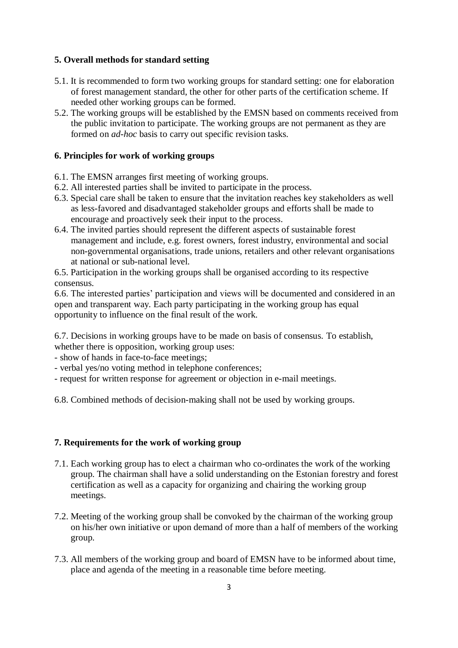## **5. Overall methods for standard setting**

- 5.1. It is recommended to form two working groups for standard setting: one for elaboration of forest management standard, the other for other parts of the certification scheme. If needed other working groups can be formed.
- 5.2. The working groups will be established by the EMSN based on comments received from the public invitation to participate. The working groups are not permanent as they are formed on *ad-hoc* basis to carry out specific revision tasks.

## **6. Principles for work of working groups**

- 6.1. The EMSN arranges first meeting of working groups.
- 6.2. All interested parties shall be invited to participate in the process.
- 6.3. Special care shall be taken to ensure that the invitation reaches key stakeholders as well as less-favored and disadvantaged stakeholder groups and efforts shall be made to encourage and proactively seek their input to the process.
- 6.4. The invited parties should represent the different aspects of sustainable forest management and include, e.g. forest owners, forest industry, environmental and social non-governmental organisations, trade unions, retailers and other relevant organisations at national or sub-national level.

6.5. Participation in the working groups shall be organised according to its respective consensus.

6.6. The interested parties' participation and views will be documented and considered in an open and transparent way. Each party participating in the working group has equal opportunity to influence on the final result of the work.

6.7. Decisions in working groups have to be made on basis of consensus. To establish, whether there is opposition, working group uses:

- show of hands in face-to-face meetings;

- verbal yes/no voting method in telephone conferences;
- request for written response for agreement or objection in e-mail meetings.

6.8. Combined methods of decision-making shall not be used by working groups.

## **7. Requirements for the work of working group**

- 7.1. Each working group has to elect a chairman who co-ordinates the work of the working group. The chairman shall have a solid understanding on the Estonian forestry and forest certification as well as a capacity for organizing and chairing the working group meetings.
- 7.2. Meeting of the working group shall be convoked by the chairman of the working group on his/her own initiative or upon demand of more than a half of members of the working group.
- 7.3. All members of the working group and board of EMSN have to be informed about time, place and agenda of the meeting in a reasonable time before meeting.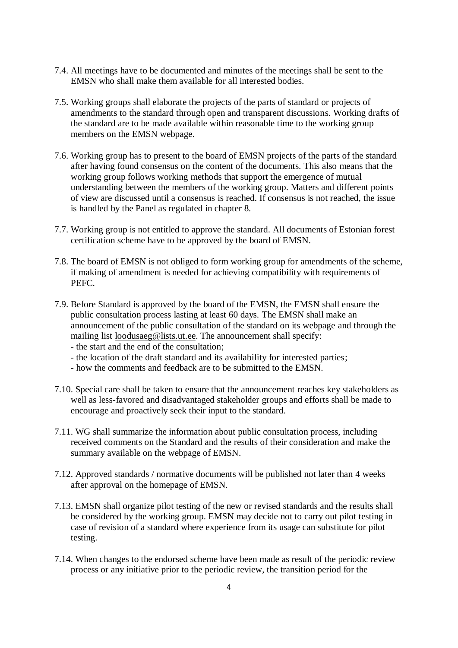- 7.4. All meetings have to be documented and minutes of the meetings shall be sent to the EMSN who shall make them available for all interested bodies.
- 7.5. Working groups shall elaborate the projects of the parts of standard or projects of amendments to the standard through open and transparent discussions. Working drafts of the standard are to be made available within reasonable time to the working group members on the EMSN webpage.
- 7.6. Working group has to present to the board of EMSN projects of the parts of the standard after having found consensus on the content of the documents. This also means that the working group follows working methods that support the emergence of mutual understanding between the members of the working group. Matters and different points of view are discussed until a consensus is reached. If consensus is not reached, the issue is handled by the Panel as regulated in chapter 8.
- 7.7. Working group is not entitled to approve the standard. All documents of Estonian forest certification scheme have to be approved by the board of EMSN.
- 7.8. The board of EMSN is not obliged to form working group for amendments of the scheme, if making of amendment is needed for achieving compatibility with requirements of PEFC.
- 7.9. Before Standard is approved by the board of the EMSN, the EMSN shall ensure the public consultation process lasting at least 60 days. The EMSN shall make an announcement of the public consultation of the standard on its webpage and through the mailing list [loodusaeg@lists.ut.ee.](mailto:loodusaeg@lists.ut.ee) The announcement shall specify:
	- the start and the end of the consultation;
	- the location of the draft standard and its availability for interested parties;
	- how the comments and feedback are to be submitted to the EMSN.
- 7.10. Special care shall be taken to ensure that the announcement reaches key stakeholders as well as less-favored and disadvantaged stakeholder groups and efforts shall be made to encourage and proactively seek their input to the standard.
- 7.11. WG shall summarize the information about public consultation process, including received comments on the Standard and the results of their consideration and make the summary available on the webpage of EMSN.
- 7.12. Approved standards / normative documents will be published not later than 4 weeks after approval on the homepage of EMSN.
- 7.13. EMSN shall organize pilot testing of the new or revised standards and the results shall be considered by the working group. EMSN may decide not to carry out pilot testing in case of revision of a standard where experience from its usage can substitute for pilot testing.
- 7.14. When changes to the endorsed scheme have been made as result of the periodic review process or any initiative prior to the periodic review, the transition period for the